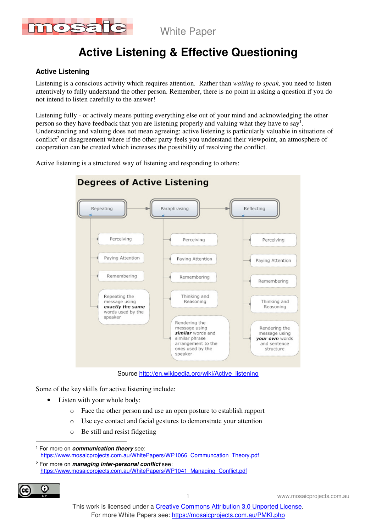

# **Active Listening & Effective Questioning**

### **Active Listening**

Listening is a conscious activity which requires attention. Rather than *waiting to speak,* you need to listen attentively to fully understand the other person. Remember, there is no point in asking a question if you do not intend to listen carefully to the answer!

Listening fully - or actively means putting everything else out of your mind and acknowledging the other person so they have feedback that you are listening properly and valuing what they have to say<sup>1</sup>. Understanding and valuing does not mean agreeing; active listening is particularly valuable in situations of conflict<sup>2</sup> or disagreement where if the other party feels you understand their viewpoint, an atmosphere of cooperation can be created which increases the possibility of resolving the conflict.

Active listening is a structured way of listening and responding to others:



Source http://en.wikipedia.org/wiki/Active\_listening

Some of the key skills for active listening include:

- Listen with your whole body:
	- o Face the other person and use an open posture to establish rapport
	- o Use eye contact and facial gestures to demonstrate your attention
	- o Be still and resist fidgeting

<sup>2</sup> For more on **managing inter-personal conflict** see: https://www.mosaicprojects.com.au/WhitePapers/WP1041\_Managing\_Conflict.pdf



 $\overline{a}$ 

<sup>1</sup> For more on **communication theory** see: https://www.mosaicprojects.com.au/WhitePapers/WP1066 Communcation Theory.pdf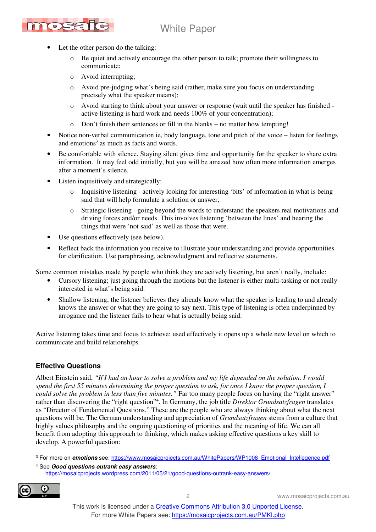

- Let the other person do the talking:
	- $\circ$  Be quiet and actively encourage the other person to talk; promote their willingness to communicate;
	- o Avoid interrupting;
	- o Avoid pre-judging what's being said (rather, make sure you focus on understanding precisely what the speaker means);
	- o Avoid starting to think about your answer or response (wait until the speaker has finished active listening is hard work and needs 100% of your concentration);
	- o Don't finish their sentences or fill in the blanks no matter how tempting!
- Notice non-verbal communication ie, body language, tone and pitch of the voice listen for feelings and emotions<sup>3</sup> as much as facts and words.
- Be comfortable with silence. Staying silent gives time and opportunity for the speaker to share extra information. It may feel odd initially, but you will be amazed how often more information emerges after a moment's silence.
- Listen inquisitively and strategically:
	- Inquisitive listening actively looking for interesting 'bits' of information in what is being said that will help formulate a solution or answer;
	- o Strategic listening going beyond the words to understand the speakers real motivations and driving forces and/or needs. This involves listening 'between the lines' and hearing the things that were 'not said' as well as those that were.
- Use questions effectively (see below).
- Reflect back the information you receive to illustrate your understanding and provide opportunities for clarification. Use paraphrasing, acknowledgment and reflective statements.

Some common mistakes made by people who think they are actively listening, but aren't really, include:

- Cursory listening; just going through the motions but the listener is either multi-tasking or not really interested in what's being said.
- Shallow listening; the listener believes they already know what the speaker is leading to and already knows the answer or what they are going to say next. This type of listening is often underpinned by arrogance and the listener fails to hear what is actually being said.

Active listening takes time and focus to achieve; used effectively it opens up a whole new level on which to communicate and build relationships.

#### **Effective Questions**

Albert Einstein said, *"If I had an hour to solve a problem and my life depended on the solution, I would spend the first 55 minutes determining the proper question to ask, for once I know the proper question, I could solve the problem in less than five minutes."* Far too many people focus on having the "right answer" rather than discovering the "right question"<sup>4</sup> . In Germany, the job title *Direktor Grundsatzfragen* translates as "Director of Fundamental Questions." These are the people who are always thinking about what the next questions will be. The German understanding and appreciation of *Grundsatzfragen* stems from a culture that highly values philosophy and the ongoing questioning of priorities and the meaning of life. We can all benefit from adopting this approach to thinking, which makes asking effective questions a key skill to develop. A powerful question:

<sup>4</sup> See **Good questions outrank easy answers**: https://mosaicprojects.wordpress.com/2011/05/21/good-questions-outrank-easy-answers/



 $\overline{a}$ 

<sup>&</sup>lt;sup>3</sup> For more on *emotions* see: https://www.mosaicprojects.com.au/WhitePapers/WP1008\_Emotional\_Intellegence.pdf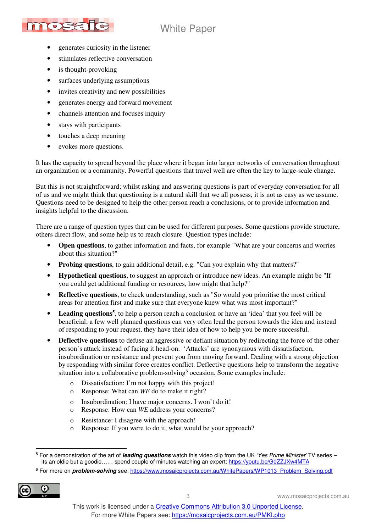

- generates curiosity in the listener
- stimulates reflective conversation
- is thought-provoking
- surfaces underlying assumptions
- invites creativity and new possibilities
- generates energy and forward movement
- channels attention and focuses inquiry
- stays with participants
- touches a deep meaning
- evokes more questions.

It has the capacity to spread beyond the place where it began into larger networks of conversation throughout an organization or a community. Powerful questions that travel well are often the key to large-scale change.

But this is not straightforward; whilst asking and answering questions is part of everyday conversation for all of us and we might think that questioning is a natural skill that we all possess; it is not as easy as we assume. Questions need to be designed to help the other person reach a conclusions, or to provide information and insights helpful to the discussion.

There are a range of question types that can be used for different purposes. Some questions provide structure, others direct flow, and some help us to reach closure. Question types include:

- **Open questions**, to gather information and facts, for example "What are your concerns and worries about this situation?"
- **Probing questions**, to gain additional detail, e.g. "Can you explain why that matters?"
- **Hypothetical questions**, to suggest an approach or introduce new ideas. An example might be "If you could get additional funding or resources, how might that help?"
- **Reflective questions**, to check understanding, such as "So would you prioritise the most critical areas for attention first and make sure that everyone knew what was most important?"
- Leading questions<sup>5</sup>, to help a person reach a conclusion or have an 'idea' that you feel will be beneficial; a few well planned questions can very often lead the person towards the idea and instead of responding to your request, they have their idea of how to help you be more successful.
- **Deflective questions** to defuse an aggressive or defiant situation by redirecting the force of the other person's attack instead of facing it head-on. 'Attacks' are synonymous with dissatisfaction, insubordination or resistance and prevent you from moving forward. Dealing with a strong objection by responding with similar force creates conflict. Deflective questions help to transform the negative situation into a collaborative problem-solving<sup>6</sup> occasion. Some examples include:
	- o Dissatisfaction: I'm not happy with this project!
	- o Response: What can *WE* do to make it right?
	- o Insubordination: I have major concerns. I won't do it!
	- o Response: How can *WE* address your concerns?
	- o Resistance: I disagree with the approach!
	- o Response: If you were to do it, what would be your approach?

<sup>&</sup>lt;sup>6</sup> For more on *problem-solving* see: https://www.mosaicprojects.com.au/WhitePapers/WP1013\_Problem\_Solving.pdf



 $\overline{a}$ 5 For a demonstration of the art of **leading questions** watch this video clip from the UK 'Yes Prime Minister' TV series – its an oldie but a goodie…… spend couple of minutes watching an expert: https://youtu.be/G0ZZJXw4MTA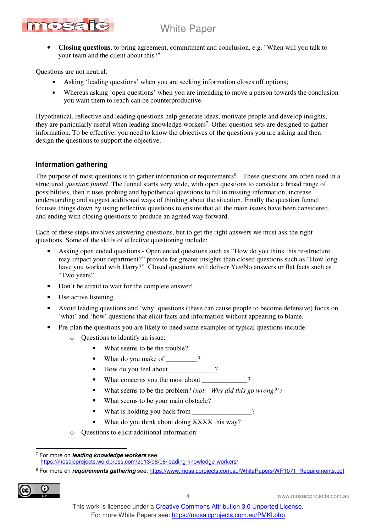

• **Closing questions**, to bring agreement, commitment and conclusion, e.g. "When will you talk to your team and the client about this?"

Questions are not neutral:

- Asking 'leading questions' when you are seeking information closes off options;
- Whereas asking 'open questions' when you are intending to move a person towards the conclusion you want them to reach can be counterproductive.

Hypothetical, reflective and leading questions help generate ideas, motivate people and develop insights, they are particularly useful when leading knowledge workers<sup>7</sup>. Other question sets are designed to gather information. To be effective, you need to know the objectives of the questions you are asking and then design the questions to support the objective.

### **Information gathering**

The purpose of most questions is to gather information or requirements<sup>8</sup>. These questions are often used in a structured *question funnel*. The funnel starts very wide, with open questions to consider a broad range of possibilities, then it uses probing and hypothetical questions to fill in missing information, increase understanding and suggest additional ways of thinking about the situation. Finally the question funnel focuses things down by using reflective questions to ensure that all the main issues have been considered, and ending with closing questions to produce an agreed way forward.

Each of these steps involves answering questions, but to get the right answers we must ask the right questions. Some of the skills of effective questioning include:

- Asking open ended questions Open ended questions such as "How do you think this re-structure may impact your department?" provide far greater insights than closed questions such as "How long have you worked with Harry?" Closed questions will deliver Yes/No answers or flat facts such as "Two years".
- Don't be afraid to wait for the complete answer!
- Use active listening…..
- Avoid leading questions and 'why' questions (these can cause people to become defensive) focus on 'what' and 'how' questions that elicit facts and information without appearing to blame.
- Pre-plan the questions you are likely to need some examples of typical questions include:
	- o Questions to identify an issue:
		- What seems to be the trouble?
		- What do you make of \_\_\_\_\_\_\_?
		- How do you feel about  $\qquad$  ?
		- What concerns you the most about \_\_\_\_\_\_\_\_\_\_\_?
		- What seems to be the problem? *(not: 'Why did this go wrong?')*
		- What seems to be your main obstacle?
		- What is holding you back from \_\_\_\_\_\_\_\_\_\_\_\_\_\_\_?
		- What do you think about doing XXXX this way?
	- o Questions to elicit additional information:

<sup>8</sup> For more on *requirements gathering* see: https://www.mosaicprojects.com.au/WhitePapers/WP1071\_Requirements.pdf



 $\overline{a}$ 7 For more on **leading knowledge workers** see: https://mosaicprojects.wordpress.com/2013/08/08/leading-knowledge-workers/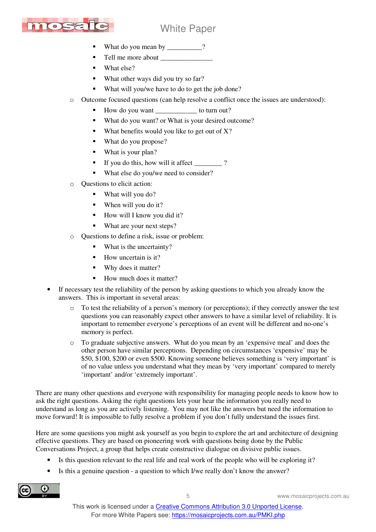

- What do you mean by \_\_\_\_\_\_\_\_\_?
- Tell me more about \_\_\_\_\_\_\_\_\_\_\_\_\_\_\_
- What else?
- What other ways did you try so far?
- What will you/we have to do to get the job done?
- o Outcome focused questions (can help resolve a conflict once the issues are understood):
	- How do you want \_\_\_\_\_\_\_\_\_\_\_\_ to turn out?
	- What do you want? or What is your desired outcome?
	- What benefits would you like to get out of X?
	- What do you propose?
	- What is your plan?
	- If you do this, how will it affect  $\qquad$  ?
	- What else do you/we need to consider?
- Questions to elicit action:
	- What will you do?
	- When will you do it?
	- How will I know you did it?
	- What are your next steps?
- o Questions to define a risk, issue or problem:
	- What is the uncertainty?
	- How uncertain is it?
	- Why does it matter?
	- How much does it matter?
- If necessary test the reliability of the person by asking questions to which you already know the answers. This is important in several areas:
	- $\circ$  To test the reliability of a person's memory (or perceptions); if they correctly answer the test questions you can reasonably expect other answers to have a similar level of reliability. It is important to remember everyone's perceptions of an event will be different and no-one's memory is perfect.
	- o To graduate subjective answers. What do you mean by an 'expensive meal' and does the other person have similar perceptions. Depending on circumstances 'expensive' may be \$50, \$100, \$200 or even \$500. Knowing someone believes something is 'very important' is of no value unless you understand what they mean by 'very important' compared to merely 'important' and/or 'extremely important'.

There are many other questions and everyone with responsibility for managing people needs to know how to ask the right questions. Asking the right questions lets your hear the information you really need to understand as long as you are actively listening. You may not like the answers but need the information to move forward! It is impossible to fully resolve a problem if you don't fully understand the issues first.

Here are some questions you might ask yourself as you begin to explore the art and architecture of designing effective questions. They are based on pioneering work with questions being done by the Public Conversations Project, a group that helps create constructive dialogue on divisive public issues.

- Is this question relevant to the real life and real work of the people who will be exploring it?
- Is this a genuine question a question to which I/we really don't know the answer?

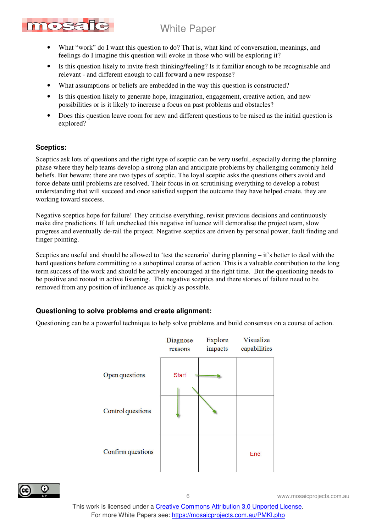

- What "work" do I want this question to do? That is, what kind of conversation, meanings, and feelings do I imagine this question will evoke in those who will be exploring it?
- Is this question likely to invite fresh thinking/feeling? Is it familiar enough to be recognisable and relevant - and different enough to call forward a new response?
- What assumptions or beliefs are embedded in the way this question is constructed?
- Is this question likely to generate hope, imagination, engagement, creative action, and new possibilities or is it likely to increase a focus on past problems and obstacles?
- Does this question leave room for new and different questions to be raised as the initial question is explored?

#### **Sceptics:**

Sceptics ask lots of questions and the right type of sceptic can be very useful, especially during the planning phase where they help teams develop a strong plan and anticipate problems by challenging commonly held beliefs. But beware; there are two types of sceptic. The loyal sceptic asks the questions others avoid and force debate until problems are resolved. Their focus in on scrutinising everything to develop a robust understanding that will succeed and once satisfied support the outcome they have helped create, they are working toward success.

Negative sceptics hope for failure! They criticise everything, revisit previous decisions and continuously make dire predictions. If left unchecked this negative influence will demoralise the project team, slow progress and eventually de-rail the project. Negative sceptics are driven by personal power, fault finding and finger pointing.

Sceptics are useful and should be allowed to 'test the scenario' during planning – it's better to deal with the hard questions before committing to a suboptimal course of action. This is a valuable contribution to the long term success of the work and should be actively encouraged at the right time. But the questioning needs to be positive and rooted in active listening. The negative sceptics and there stories of failure need to be removed from any position of influence as quickly as possible.

#### **Questioning to solve problems and create alignment:**

Questioning can be a powerful technique to help solve problems and build consensus on a course of action.





6 www.mosaicprojects.com.au

This work is licensed under a Creative Commons Attribution 3.0 Unported License. For more White Papers see: https://mosaicprojects.com.au/PMKI.php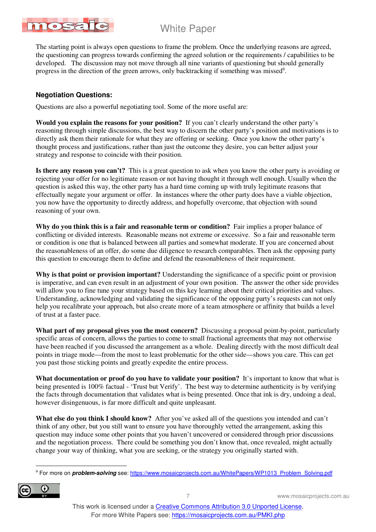

The starting point is always open questions to frame the problem. Once the underlying reasons are agreed, the questioning can progress towards confirming the agreed solution or the requirements / capabilities to be developed. The discussion may not move through all nine variants of questioning but should generally progress in the direction of the green arrows, only backtracking if something was missed<sup>9</sup>.

## **Negotiation Questions:**

Questions are also a powerful negotiating tool. Some of the more useful are:

**Would you explain the reasons for your position?** If you can't clearly understand the other party's reasoning through simple discussions, the best way to discern the other party's position and motivations is to directly ask them their rationale for what they are offering or seeking. Once you know the other party's thought process and justifications, rather than just the outcome they desire, you can better adjust your strategy and response to coincide with their position.

**Is there any reason you can't?** This is a great question to ask when you know the other party is avoiding or rejecting your offer for no legitimate reason or not having thought it through well enough. Usually when the question is asked this way, the other party has a hard time coming up with truly legitimate reasons that effectually negate your argument or offer. In instances where the other party does have a viable objection, you now have the opportunity to directly address, and hopefully overcome, that objection with sound reasoning of your own.

**Why do you think this is a fair and reasonable term or condition?** Fair implies a proper balance of conflicting or divided interests. Reasonable means not extreme or excessive. So a fair and reasonable term or condition is one that is balanced between all parties and somewhat moderate. If you are concerned about the reasonableness of an offer, do some due diligence to research comparables. Then ask the opposing party this question to encourage them to define and defend the reasonableness of their requirement.

**Why is that point or provision important?** Understanding the significance of a specific point or provision is imperative, and can even result in an adjustment of your own position. The answer the other side provides will allow you to fine tune your strategy based on this key learning about their critical priorities and values. Understanding, acknowledging and validating the significance of the opposing party's requests can not only help you recalibrate your approach, but also create more of a team atmosphere or affinity that builds a level of trust at a faster pace.

**What part of my proposal gives you the most concern?** Discussing a proposal point-by-point, particularly specific areas of concern, allows the parties to come to small fractional agreements that may not otherwise have been reached if you discussed the arrangement as a whole. Dealing directly with the most difficult deal points in triage mode—from the most to least problematic for the other side—shows you care. This can get you past those sticking points and greatly expedite the entire process.

**What documentation or proof do you have to validate your position?** It's important to know that what is being presented is 100% factual - 'Trust but Verify'. The best way to determine authenticity is by verifying the facts through documentation that validates what is being presented. Once that ink is dry, undoing a deal, however disingenuous, is far more difficult and quite unpleasant.

**What else do you think I should know?** After you've asked all of the questions you intended and can't think of any other, but you still want to ensure you have thoroughly vetted the arrangement, asking this question may induce some other points that you haven't uncovered or considered through prior discussions and the negotiation process. There could be something you don't know that, once revealed, might actually change your way of thinking, what you are seeking, or the strategy you originally started with.

<sup>&</sup>lt;sup>9</sup> For more on **problem-solving** see: https://www.mosaicprojects.com.au/WhitePapers/WP1013\_Problem\_Solving.pdf



 $\overline{a}$